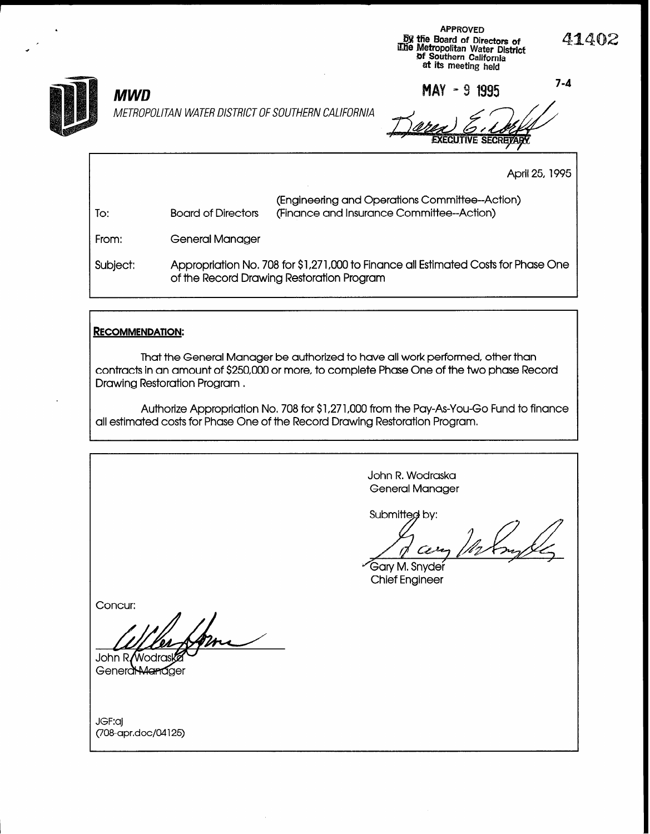

MAY - 9 1995

 $7 - 4$ 

41402

# **MWD**

METROPOLITAN WATER DISTRICT OF SOUTHERN CALIFORNIA

**ECUTIVE SECRETARY** 

April 25, 1995

| To:      | <b>Board of Directors</b> | (Engineering and Operations Committee--Action)<br>(Finance and Insurance Committee--Action)                                     |
|----------|---------------------------|---------------------------------------------------------------------------------------------------------------------------------|
| From:    | <b>General Manager</b>    |                                                                                                                                 |
| Subject: |                           | Appropriation No. 708 for \$1,271,000 to Finance all Estimated Costs for Phase One<br>of the Record Drawing Restoration Program |

#### **RECOMMENDATION:**

That the General Manager be authorized to have all work performed, other than contracts in an amount of \$250,000 or more, to complete Phase One of the two phase Record Drawing Restoration Program.

Authorize Appropriation No. 708 for \$1,271,000 from the Pay-As-You-Go Fund to finance all estimated costs for Phase One of the Record Drawing Restoration Program.

> John R. Wodraska **General Manager**

Submitted by:

 $\frac{1}{n}$ Cera

Gary M. Snyder **Chief Engineer** 

Concur:

John R/Wodras Generd Manager

JGF:aj (708-apr.doc/04125)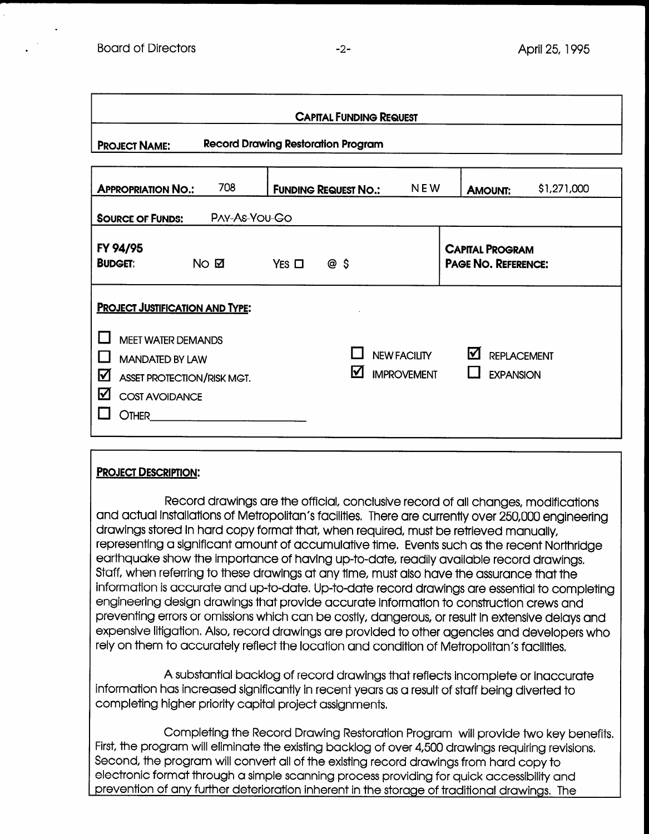| <b>CAPITAL FUNDING REQUEST</b>                                                                                                                                                 |                     |            |                                           |                                           |                                               |             |  |
|--------------------------------------------------------------------------------------------------------------------------------------------------------------------------------|---------------------|------------|-------------------------------------------|-------------------------------------------|-----------------------------------------------|-------------|--|
| <b>PROJECT NAME:</b>                                                                                                                                                           |                     |            | <b>Record Drawing Restoration Program</b> |                                           |                                               |             |  |
| <b>APPROPRIATION NO.:</b>                                                                                                                                                      | 708                 |            | <b>FUNDING REQUEST NO.:</b>               | <b>NEW</b>                                | <b>AMOUNT:</b>                                | \$1,271,000 |  |
| <b>SOURCE OF FUNDS:</b>                                                                                                                                                        | PAY-As-YOU-GO       |            |                                           |                                           |                                               |             |  |
| FY 94/95<br><b>BUDGET:</b>                                                                                                                                                     | $NO$ $\overline{M}$ | YES $\Box$ | @ \$                                      |                                           | <b>CAPITAL PROGRAM</b><br>PAGE NO. REFERENCE: |             |  |
| <b>PROJECT JUSTIFICATION AND TYPE:</b><br><b>MEET WATER DEMANDS</b><br><b>MANDATED BY LAW</b><br>☑<br>ASSET PROTECTION/RISK MGT.<br>☑<br><b>COST AVOIDANCE</b><br><b>OTHER</b> |                     |            | M                                         | <b>NEW FACILITY</b><br><b>IMPROVEMENT</b> | ☑<br><b>REPLACEMENT</b><br><b>EXPANSION</b>   |             |  |

### PROJECT DESCRIPTION:

Record drawings are the official, conclusive record of all changes, modifications and actual installations of Metropolitan's factual installations of Metropolitan's factual installations of Metropolitan's factual installations of the currently over 250,000 engineering over 250,000 engineering terms of t and actual installations of Metropolitan's facilities. There are currently over 250,000 engineering<br>drawings stored in hard copy format that, when required, must be retrieved manually, representing a significant amount of accumulative time, I have such a the recent Northern Northern Northern No<br>The recent Northern School and Northern Northern Northern Northern Northern Northern Northern Northern Northern representing a agrifficatin arribant of accurridiance firme. Even is such as interfecent front lift earthquake show the importance of having up-to-date, readily available record drawings. Staff, when referring to these drawings at any time, must also have the assurance that the information is accurate and up-to-date. Up-to-date record drawings are essential to completing engineering design drawings that provide accurate information to construction crews and preventing errors or omissions which can be costly, dangerous, or result in extensive delays and expensive litigation. Also, record drawings are provided to other agencies and developers who<br>rely on them to accurately reflect the location and condition of Metropolitan's facilities.

 $A$  substantial backlog of record drawings that reflects incomplete or incomplete or inaccurate or inaccurate or in A substantial backlog of record arawings that reflects incomplete or inaccur information has increased significantly in recent years as a result of staff being diverted to<br>completing higher priority capital project assignments.

Completing the Record Drawing Restoration Program will provide two key bene First, the program will eliminate the existing backlog of over 4,500 drawings requiring revisions. Second, the program will convert all of the existing record drawings from hard copy to electronic format through a simple scanning process providing for quick accessibility and prevention of any further deterioration inherent in the storage of traditional drawinas. The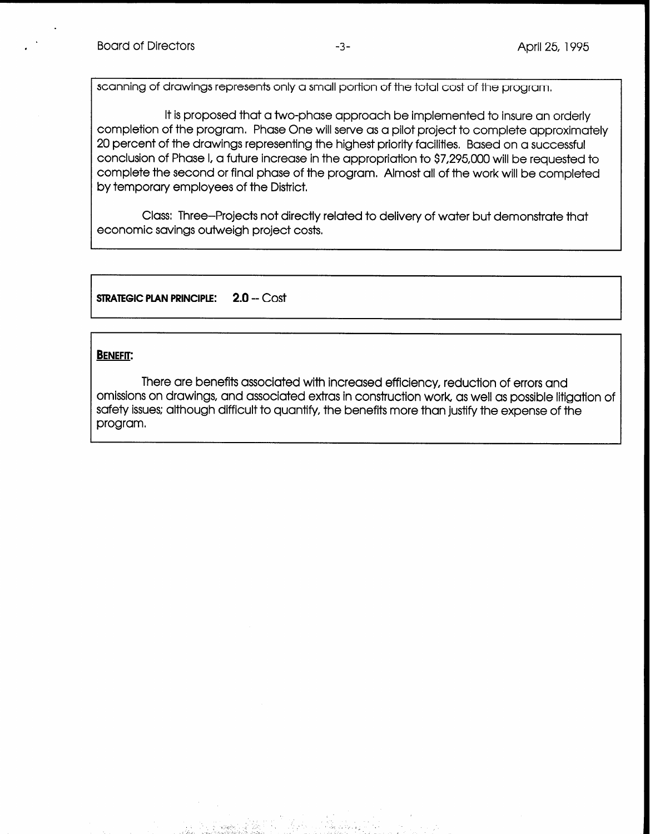scanning of drawings represents only a small portion of the total cost of the program,

It is proposed that a two-phase approach be implemented to insure an orderly completion of the program. Phase One will serve as a pilot project to complete approximately 20 percent of the drawings representing the highest priority facilities, Based on a successful conclusion of Phase I, a future increase in the appropriation to \$7,295,000 will be requested to complete the second or final phase of the program, Almost all of the work will be completed by temporary employees of the District.

Class: Three-Projects not directly related to delivery of water but demonstrate that economic savings outweigh project costs,

STRATEGIC PLAN PRINCIPLE: 2.0 -- Cost

# BENEFIT:

There are benefits associated with increased efficiency, reduction of errors and omissions on drawings, and associated extras in construction work, as well as possible litigation of safety issues; although difficult to quantify, the benefits more than justify the expense of the program,

pier in de la politicia de la politicia de la contrada de la politica de la politica de la politica de la poli<br>1942 : la computación de la politica de la politica de la politica de la politica de la politica de la politic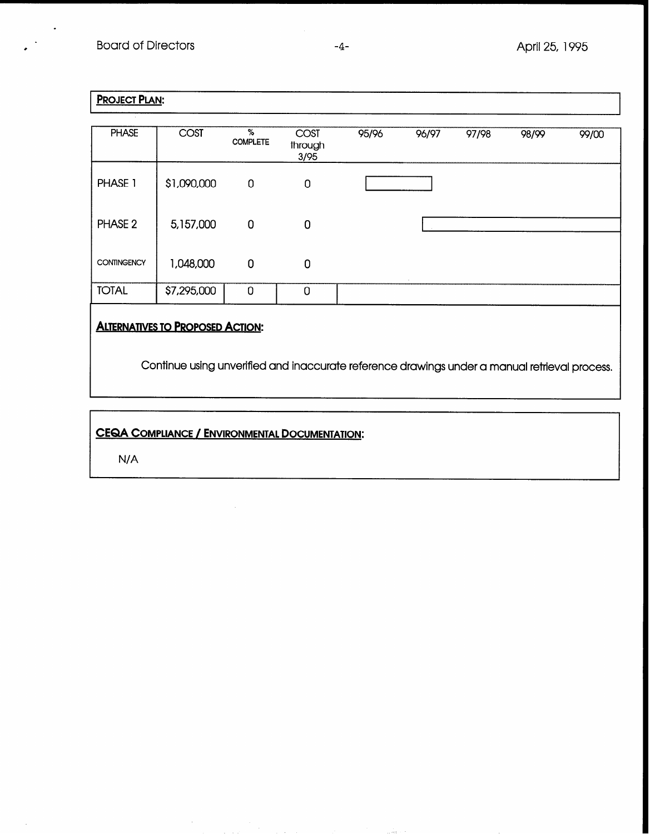# PROJECT PLAN:

.

.

| <b>PHASE</b>       | <b>COST</b>                             | %<br><b>COMPLETE</b> | COST<br>through<br>3/95 | 95/96 | 96/97 | 97/98 | 98/99 | 99/00 |
|--------------------|-----------------------------------------|----------------------|-------------------------|-------|-------|-------|-------|-------|
| PHASE 1            | \$1,090,000                             | $\mathbf 0$          | $\mathbf 0$             |       |       |       |       |       |
| PHASE <sub>2</sub> | 5,157,000                               | 0                    | 0                       |       |       |       |       |       |
| <b>CONTINGENCY</b> | 1,048,000                               | 0                    | $\mathbf 0$             |       |       |       |       |       |
| <b>TOTAL</b>       | \$7,295,000                             | 0                    | 0                       |       |       |       |       |       |
|                    | <b>ALTERNATIVES TO PROPOSED ACTION:</b> |                      |                         |       |       |       |       |       |

Continue using unverified and inaccurate reference drawings under a manual retrieval process.

# CEQA COMPLIANCE /ENVIRONMENTAL DOCUMENTATION:

N/A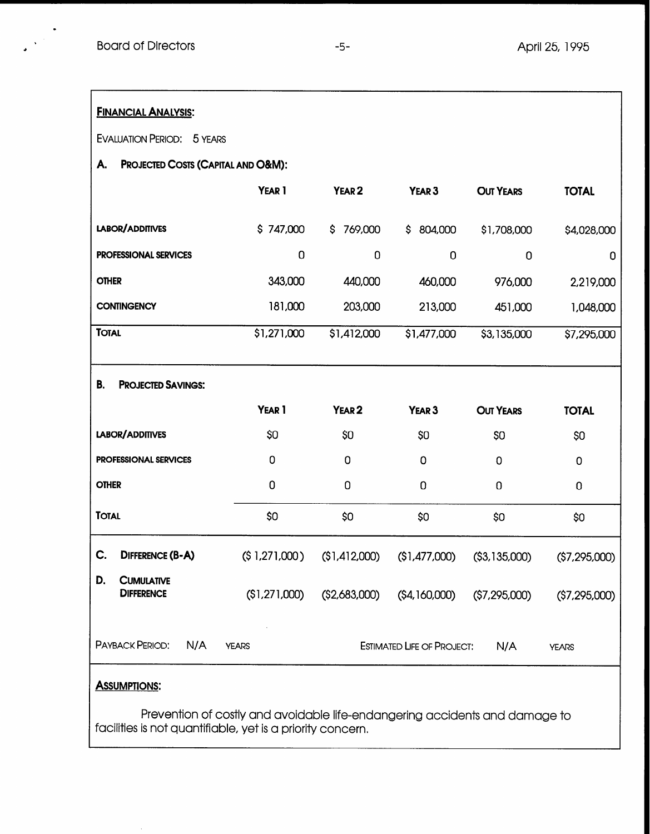| <b>FINANCIAL ANALYSIS:</b>                   |               |                   |                                   |                  |                |  |  |  |
|----------------------------------------------|---------------|-------------------|-----------------------------------|------------------|----------------|--|--|--|
| <b>EVALUATION PERIOD: 5 YEARS</b>            |               |                   |                                   |                  |                |  |  |  |
| PROJECTED COSTS (CAPITAL AND O&M):<br>А.     |               |                   |                                   |                  |                |  |  |  |
|                                              | YEAR 1        | YEAR <sub>2</sub> | YEAR <sub>3</sub>                 | <b>OUT YEARS</b> | <b>TOTAL</b>   |  |  |  |
| LABOR/ADDITIVES                              | \$747,000     | 769,000<br>\$     | \$804,000                         | \$1,708,000      | \$4,028,000    |  |  |  |
| <b>PROFESSIONAL SERVICES</b>                 | 0             | 0                 | $\mathbf 0$                       | $\mathbf 0$      | 0              |  |  |  |
| <b>OTHER</b>                                 | 343,000       | 440,000           | 460,000                           | 976,000          | 2,219,000      |  |  |  |
| <b>CONTINGENCY</b>                           | 181,000       | 203,000           | 213,000                           | 451,000          | 1,048,000      |  |  |  |
| <b>TOTAL</b>                                 | \$1,271,000   | \$1,412,000       | \$1,477,000                       | \$3,135,000      | \$7,295,000    |  |  |  |
| В.<br><b>PROJECTED SAVINGS:</b>              |               |                   |                                   |                  |                |  |  |  |
|                                              |               |                   |                                   |                  |                |  |  |  |
|                                              | YEAR 1        | YEAR <sub>2</sub> | YEAR <sub>3</sub>                 | <b>OUT YEARS</b> | <b>TOTAL</b>   |  |  |  |
| LABOR/ADDITIVES                              | \$0           | \$0               | \$0                               | \$0              | \$0            |  |  |  |
| <b>PROFESSIONAL SERVICES</b>                 | 0             | 0                 | 0                                 | 0                | 0              |  |  |  |
| <b>OTHER</b>                                 | $\mathbf 0$   | 0                 | 0                                 | 0                | $\mathbf 0$    |  |  |  |
| <b>TOTAL</b>                                 | \$0           | \$0               | \$0                               | \$0              | \$0            |  |  |  |
| C.<br><b>DIFFERENCE (B-A)</b>                | (\$1,271,000) | (\$1,412,000)     | (\$1,477,000)                     | ( \$3, 135, 000) | (\$7,295,000)  |  |  |  |
| D.<br><b>CUMULATIVE</b><br><b>DIFFERENCE</b> | (\$1,271,000) | (\$2,683,000)     | $($ \$4,160,000)                  | ( \$7,295,000)   | ( \$7,295,000) |  |  |  |
| PAYBACK PERIOD:<br>N/A                       | <b>YEARS</b>  |                   | <b>ESTIMATED LIFE OF PROJECT:</b> | N/A              | <b>YEARS</b>   |  |  |  |

Prevention of costly and avoidable life-endangering accidents and damage to facilities is not quantifiable, yet is a priority concern.